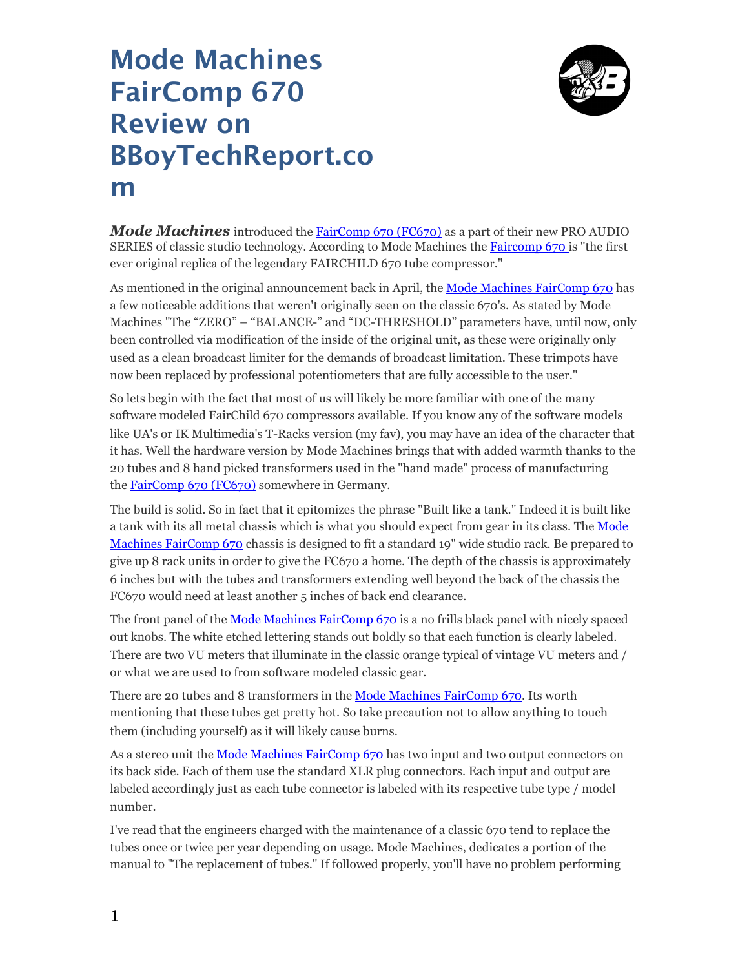## **Mode Machines FairComp 670 Review on BBoyTechReport.co m**



*Mode Machines* introduced the [FairComp 670 \(FC670\)](http://www.modemachines.com/index.php?option=com_k2&view=item&id=18%3Afaircomp-670-compressor&Itemid=130) as a part of their new PRO AUDIO SERIES of classic studio technology. According to Mode Machines the **[Faircomp 670](http://www.modemachines.com/index.php?option=com_k2&view=item&id=18%3Afaircomp-670-compressor&Itemid=130)** is "the first ever original replica of the legendary FAIRCHILD 670 tube compressor."

As mentioned in the original announcement back in April, the [Mode Machines FairComp 670](http://www.modemachines.com/index.php?option=com_k2&view=item&id=18%3Afaircomp-670-compressor&Itemid=130) has a few noticeable additions that weren't originally seen on the classic 670's. As stated by Mode Machines "The "ZERO" – "BALANCE-" and "DC-THRESHOLD" parameters have, until now, only been controlled via modification of the inside of the original unit, as these were originally only used as a clean broadcast limiter for the demands of broadcast limitation. These trimpots have now been replaced by professional potentiometers that are fully accessible to the user."

So lets begin with the fact that most of us will likely be more familiar with one of the many software modeled FairChild 670 compressors available. If you know any of the software models like UA's or IK Multimedia's T-Racks version (my fav), you may have an idea of the character that it has. Well the hardware version by Mode Machines brings that with added warmth thanks to the 20 tubes and 8 hand picked transformers used in the "hand made" process of manufacturing the [FairComp 670 \(FC670\)](http://www.modemachines.com/index.php?option=com_k2&view=item&id=18%3Afaircomp-670-compressor&Itemid=130) somewhere in Germany.

The build is solid. So in fact that it epitomizes the phrase "Built like a tank." Indeed it is built like a tank with its all metal chassis which is what you should expect from gear in its class. The Mode [Machines FairComp 670](http://www.modemachines.com/index.php?option=com_k2&view=item&id=18%3Afaircomp-670-compressor&Itemid=130) chassis is designed to fit a standard 19" wide studio rack. Be prepared to give up 8 rack units in order to give the FC670 a home. The depth of the chassis is approximately 6 inches but with the tubes and transformers extending well beyond the back of the chassis the FC670 would need at least another 5 inches of back end clearance.

The front panel of the [Mode Machines FairComp 670](http://www.modemachines.com/index.php?option=com_k2&view=item&id=18%3Afaircomp-670-compressor&Itemid=130) is a no frills black panel with nicely spaced out knobs. The white etched lettering stands out boldly so that each function is clearly labeled. There are two VU meters that illuminate in the classic orange typical of vintage VU meters and / or what we are used to from software modeled classic gear.

There are 20 tubes and 8 transformers in the [Mode Machines FairComp 670.](http://www.modemachines.com/index.php?option=com_k2&view=item&id=18%3Afaircomp-670-compressor&Itemid=130) Its worth mentioning that these tubes get pretty hot. So take precaution not to allow anything to touch them (including yourself) as it will likely cause burns.

As a stereo unit the [Mode Machines FairComp 670](http://www.modemachines.com/index.php?option=com_k2&view=item&id=18%3Afaircomp-670-compressor&Itemid=130) has two input and two output connectors on its back side. Each of them use the standard XLR plug connectors. Each input and output are labeled accordingly just as each tube connector is labeled with its respective tube type / model number.

I've read that the engineers charged with the maintenance of a classic 670 tend to replace the tubes once or twice per year depending on usage. Mode Machines, dedicates a portion of the manual to "The replacement of tubes." If followed properly, you'll have no problem performing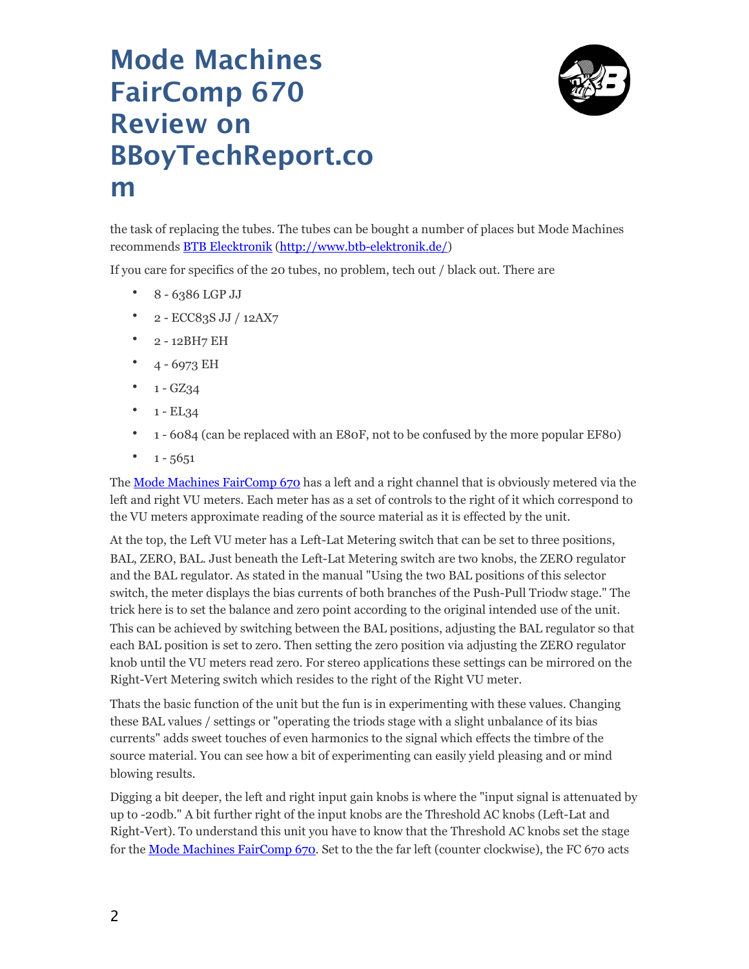## **Mode Machines FairComp 670 Review on BBoyTechReport.co m**



the task of replacing the tubes. The tubes can be bought a number of places but Mode Machines recommends [BTB Elecktronik](http://www.btb-elektronik.de/) ([http://www.btb-elektronik.de/\)](http://www.btb-elektronik.de/)

If you care fo[r specifics of the 20 tubes, no problem, tech out / b](http://www.btb-elektronik.de/)lack out. There are

- 8 6386 LGP JJ
- 2 ECC83S JJ / 12AX7
- 2 12BH7 EH
- $4 6973$  EH
- $1 GZ34$
- $1 EL34$
- 1 6084 (can be replaced with an E80F, not to be confused by the more popular EF80)
- $1 5651$

The [Mode Machines FairComp 670](http://www.modemachines.com/index.php?option=com_k2&view=item&id=18%3Afaircomp-670-compressor&Itemid=130) has a left and a right channel that is obviously metered via the left and right VU meters. Each meter has as a set of controls to the right of it which correspond to the VU meters approximate reading of the source material as it is effected by the unit.

At the top, the Left VU meter has a Left-Lat Metering switch that can be set to three positions, BAL, ZERO, BAL. Just beneath the Left-Lat Metering switch are two knobs, the ZERO regulator and the BAL regulator. As stated in the manual "Using the two BAL positions of this selector switch, the meter displays the bias currents of both branches of the Push-Pull Triodw stage." The trick here is to set the balance and zero point according to the original intended use of the unit. This can be achieved by switching between the BAL positions, adjusting the BAL regulator so that each BAL position is set to zero. Then setting the zero position via adjusting the ZERO regulator knob until the VU meters read zero. For stereo applications these settings can be mirrored on the Right-Vert Metering switch which resides to the right of the Right VU meter.

Thats the basic function of the unit but the fun is in experimenting with these values. Changing these BAL values / settings or "operating the triods stage with a slight unbalance of its bias currents" adds sweet touches of even harmonics to the signal which effects the timbre of the source material. You can see how a bit of experimenting can easily yield pleasing and or mind blowing results.

Digging a bit deeper, the left and right input gain knobs is where the "input signal is attenuated by up to -20db." A bit further right of the input knobs are the Threshold AC knobs (Left-Lat and Right-Vert). To understand this unit you have to know that the Threshold AC knobs set the stage for the [Mode Machines FairComp 670](http://www.modemachines.com/index.php?option=com_k2&view=item&id=18%3Afaircomp-670-compressor&Itemid=130). Set to the the far left (counter clockwise), the FC 670 acts